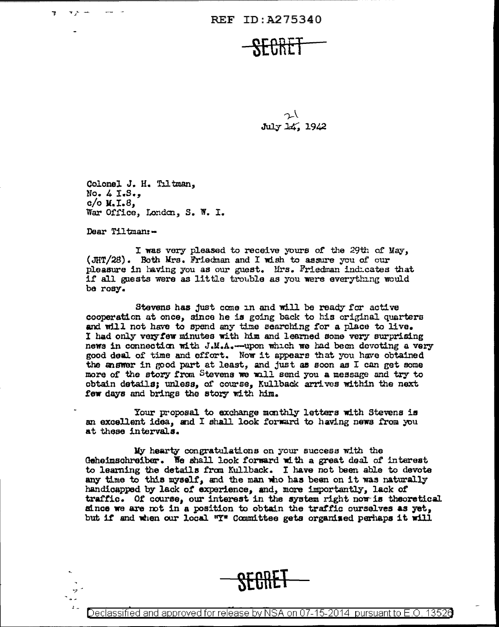てい July 14, 1942

Colonel J. H. Tiltman, No.  $4 \text{ I-}8.$  $c/o$  **H.I.8**, War Office, London, S. W. I.

Dear Tiltman:-

وء

 $\mathbf{r}$ 

I was very pleased to receive yours of the 29th of May. (JHT/28). Both Mrs. Friedman and I wish to assure you of our pleasure in having you as our guest. Mrs. Friedman indicates that if all guests were as little trouble as you were everything would be rosy.

Stevens has just come in and will be ready for active cooperation at once, since he is going back to his original quarters and will not have to spend any time searching for a place to live. I had only very few minutes with him and learned some very surprising news in connection with J.M.A.--upon which we had been devoting a very good deal of time and effort. Now it appears that you have obtained the answer in good part at least, and just as soon as I can get some more of the story from Stevens we will send you a message and try to obtain details; unless, of course, Kullback arrives within the next few days and brings the story with him.

Your proposal to exchange monthly letters with Stevens is an excellent idea. and I shall look forward to having news from you at these intervals.

My hearty congratulations on your success with the Geheimschreiber. We shall look forward with a great deal of interest to learning the details from Kullback. I have not been able to devote any time to this myself, and the man who has been on it was naturally handicapped by lack of experience, and, more importantly, lack of traffic. Of course, our interest in the system right now is theoretical since we are not in a position to obtain the traffic ourselves as yet, but if and when our local "I" Committee gets organised perhaps it will